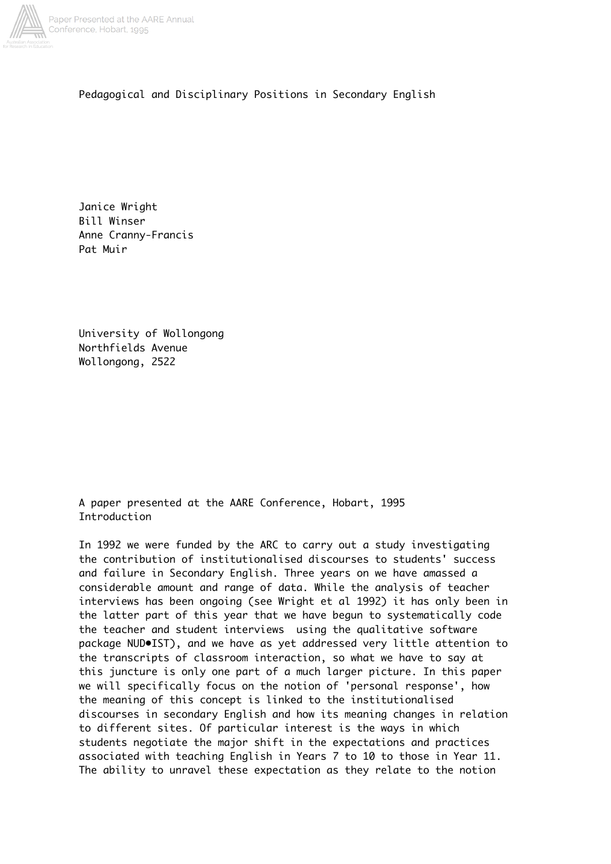

Pedagogical and Disciplinary Positions in Secondary English

Janice Wright Bill Winser Anne Cranny-Francis Pat Muir

University of Wollongong Northfields Avenue Wollongong, 2522

A paper presented at the AARE Conference, Hobart, 1995 Introduction

In 1992 we were funded by the ARC to carry out a study investigating the contribution of institutionalised discourses to students' success and failure in Secondary English. Three years on we have amassed a considerable amount and range of data. While the analysis of teacher interviews has been ongoing (see Wright et al 1992) it has only been in the latter part of this year that we have begun to systematically code the teacher and student interviews using the qualitative software package NUD•IST), and we have as yet addressed very little attention to the transcripts of classroom interaction, so what we have to say at this juncture is only one part of a much larger picture. In this paper we will specifically focus on the notion of 'personal response', how the meaning of this concept is linked to the institutionalised discourses in secondary English and how its meaning changes in relation to different sites. Of particular interest is the ways in which students negotiate the major shift in the expectations and practices associated with teaching English in Years 7 to 10 to those in Year 11. The ability to unravel these expectation as they relate to the notion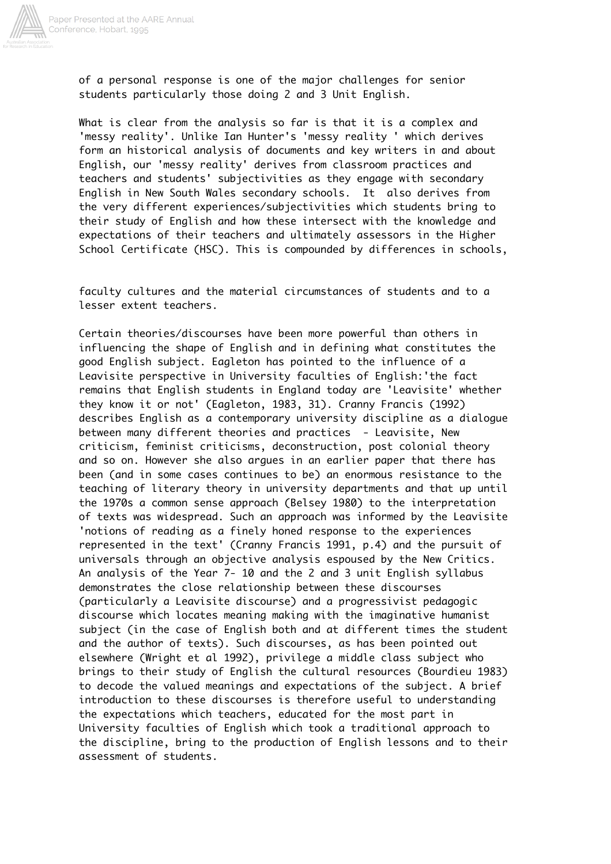

of a personal response is one of the major challenges for senior students particularly those doing 2 and 3 Unit English.

What is clear from the analysis so far is that it is a complex and 'messy reality'. Unlike Ian Hunter's 'messy reality ' which derives form an historical analysis of documents and key writers in and about English, our 'messy reality' derives from classroom practices and teachers and students' subjectivities as they engage with secondary English in New South Wales secondary schools. It also derives from the very different experiences/subjectivities which students bring to their study of English and how these intersect with the knowledge and expectations of their teachers and ultimately assessors in the Higher School Certificate (HSC). This is compounded by differences in schools,

faculty cultures and the material circumstances of students and to a lesser extent teachers.

Certain theories/discourses have been more powerful than others in influencing the shape of English and in defining what constitutes the good English subject. Eagleton has pointed to the influence of a Leavisite perspective in University faculties of English:'the fact remains that English students in England today are 'Leavisite' whether they know it or not' (Eagleton, 1983, 31). Cranny Francis (1992) describes English as a contemporary university discipline as a dialogue between many different theories and practices - Leavisite, New criticism, feminist criticisms, deconstruction, post colonial theory and so on. However she also argues in an earlier paper that there has been (and in some cases continues to be) an enormous resistance to the teaching of literary theory in university departments and that up until the 1970s a common sense approach (Belsey 1980) to the interpretation of texts was widespread. Such an approach was informed by the Leavisite 'notions of reading as a finely honed response to the experiences represented in the text' (Cranny Francis 1991, p.4) and the pursuit of universals through an objective analysis espoused by the New Critics. An analysis of the Year 7- 10 and the 2 and 3 unit English syllabus demonstrates the close relationship between these discourses (particularly a Leavisite discourse) and a progressivist pedagogic discourse which locates meaning making with the imaginative humanist subject (in the case of English both and at different times the student and the author of texts). Such discourses, as has been pointed out elsewhere (Wright et al 1992), privilege a middle class subject who brings to their study of English the cultural resources (Bourdieu 1983) to decode the valued meanings and expectations of the subject. A brief introduction to these discourses is therefore useful to understanding the expectations which teachers, educated for the most part in University faculties of English which took a traditional approach to the discipline, bring to the production of English lessons and to their assessment of students.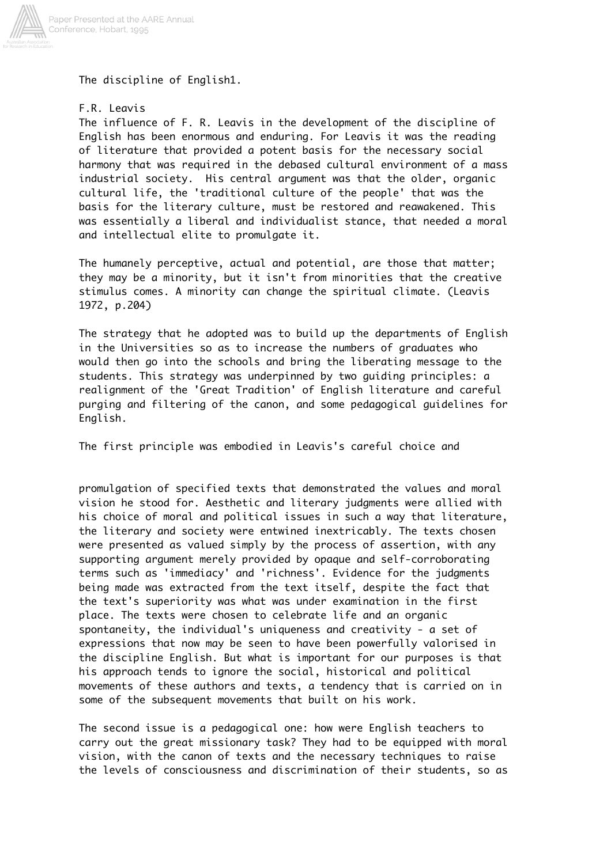

The discipline of English1.

# F.R. Leavis

The influence of F. R. Leavis in the development of the discipline of English has been enormous and enduring. For Leavis it was the reading of literature that provided a potent basis for the necessary social harmony that was required in the debased cultural environment of a mass industrial society. His central argument was that the older, organic cultural life, the 'traditional culture of the people' that was the basis for the literary culture, must be restored and reawakened. This was essentially a liberal and individualist stance, that needed a moral and intellectual elite to promulgate it.

The humanely perceptive, actual and potential, are those that matter; they may be a minority, but it isn't from minorities that the creative stimulus comes. A minority can change the spiritual climate. (Leavis 1972, p.204)

The strategy that he adopted was to build up the departments of English in the Universities so as to increase the numbers of graduates who would then go into the schools and bring the liberating message to the students. This strategy was underpinned by two guiding principles: a realignment of the 'Great Tradition' of English literature and careful purging and filtering of the canon, and some pedagogical guidelines for English.

The first principle was embodied in Leavis's careful choice and

promulgation of specified texts that demonstrated the values and moral vision he stood for. Aesthetic and literary judgments were allied with his choice of moral and political issues in such a way that literature, the literary and society were entwined inextricably. The texts chosen were presented as valued simply by the process of assertion, with any supporting argument merely provided by opaque and self-corroborating terms such as 'immediacy' and 'richness'. Evidence for the judgments being made was extracted from the text itself, despite the fact that the text's superiority was what was under examination in the first place. The texts were chosen to celebrate life and an organic spontaneity, the individual's uniqueness and creativity - a set of expressions that now may be seen to have been powerfully valorised in the discipline English. But what is important for our purposes is that his approach tends to ignore the social, historical and political movements of these authors and texts, a tendency that is carried on in some of the subsequent movements that built on his work.

The second issue is a pedagogical one: how were English teachers to carry out the great missionary task? They had to be equipped with moral vision, with the canon of texts and the necessary techniques to raise the levels of consciousness and discrimination of their students, so as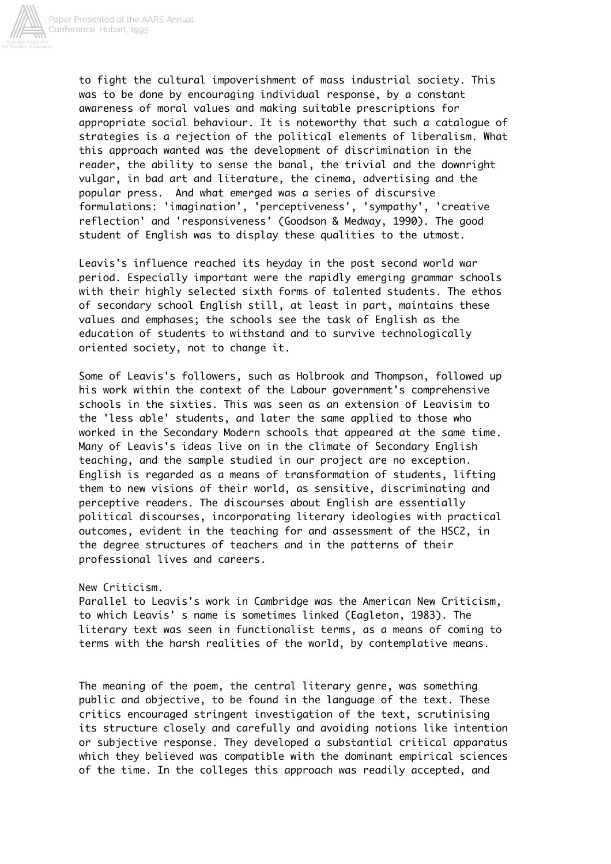

to fight the cultural impoverishment of mass industrial society. This was to be done by encouraging individual response, by a constant awareness of moral values and making suitable prescriptions for appropriate social behaviour. It is noteworthy that such a catalogue of strategies is a rejection of the political elements of liberalism. What this approach wanted was the development of discrimination in the reader, the ability to sense the banal, the trivial and the downright vulgar, in bad art and literature, the cinema, advertising and the popular press. And what emerged was a series of discursive formulations: 'imagination', 'perceptiveness', 'sympathy', 'creative reflection' and 'responsiveness' (Goodson & Medway, 1990). The good student of English was to display these qualities to the utmost.

Leavis's influence reached its heyday in the post second world war period. Especially important were the rapidly emerging grammar schools with their highly selected sixth forms of talented students. The ethos of secondary school English still, at least in part, maintains these values and emphases; the schools see the task of English as the education of students to withstand and to survive technologically oriented society, not to change it.

Some of Leavis's followers, such as Holbrook and Thompson, followed up his work within the context of the Labour government's comprehensive schools in the sixties. This was seen as an extension of Leavisim to the 'less able' students, and later the same applied to those who worked in the Secondary Modern schools that appeared at the same time. Many of Leavis's ideas live on in the climate of Secondary English teaching, and the sample studied in our project are no exception. English is regarded as a means of transformation of students, lifting them to new visions of their world, as sensitive, discriminating and perceptive readers. The discourses about English are essentially political discourses, incorporating literary ideologies with practical outcomes, evident in the teaching for and assessment of the HSC2, in the degree structures of teachers and in the patterns of their professional lives and careers.

### New Criticism.

Parallel to Leavis's work in Cambridge was the American New Criticism, to which Leavis' s name is sometimes linked (Eagleton, 1983). The literary text was seen in functionalist terms, as a means of coming to terms with the harsh realities of the world, by contemplative means.

The meaning of the poem, the central literary genre, was something public and objective, to be found in the language of the text. These critics encouraged stringent investigation of the text, scrutinising its structure closely and carefully and avoiding notions like intention or subjective response. They developed a substantial critical apparatus which they believed was compatible with the dominant empirical sciences of the time. In the colleges this approach was readily accepted, and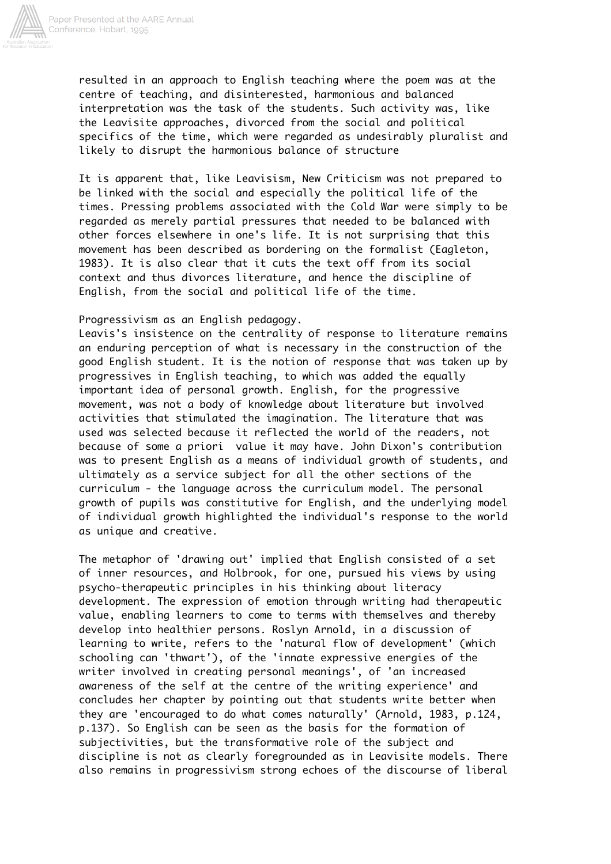

resulted in an approach to English teaching where the poem was at the centre of teaching, and disinterested, harmonious and balanced interpretation was the task of the students. Such activity was, like the Leavisite approaches, divorced from the social and political specifics of the time, which were regarded as undesirably pluralist and likely to disrupt the harmonious balance of structure

It is apparent that, like Leavisism, New Criticism was not prepared to be linked with the social and especially the political life of the times. Pressing problems associated with the Cold War were simply to be regarded as merely partial pressures that needed to be balanced with other forces elsewhere in one's life. It is not surprising that this movement has been described as bordering on the formalist (Eagleton, 1983). It is also clear that it cuts the text off from its social context and thus divorces literature, and hence the discipline of English, from the social and political life of the time.

### Progressivism as an English pedagogy.

Leavis's insistence on the centrality of response to literature remains an enduring perception of what is necessary in the construction of the good English student. It is the notion of response that was taken up by progressives in English teaching, to which was added the equally important idea of personal growth. English, for the progressive movement, was not a body of knowledge about literature but involved activities that stimulated the imagination. The literature that was used was selected because it reflected the world of the readers, not because of some a priori value it may have. John Dixon's contribution was to present English as a means of individual growth of students, and ultimately as a service subject for all the other sections of the curriculum - the language across the curriculum model. The personal growth of pupils was constitutive for English, and the underlying model of individual growth highlighted the individual's response to the world as unique and creative.

The metaphor of 'drawing out' implied that English consisted of a set of inner resources, and Holbrook, for one, pursued his views by using psycho-therapeutic principles in his thinking about literacy development. The expression of emotion through writing had therapeutic value, enabling learners to come to terms with themselves and thereby develop into healthier persons. Roslyn Arnold, in a discussion of learning to write, refers to the 'natural flow of development' (which schooling can 'thwart'), of the 'innate expressive energies of the writer involved in creating personal meanings', of 'an increased awareness of the self at the centre of the writing experience' and concludes her chapter by pointing out that students write better when they are 'encouraged to do what comes naturally' (Arnold, 1983, p.124, p.137). So English can be seen as the basis for the formation of subjectivities, but the transformative role of the subject and discipline is not as clearly foregrounded as in Leavisite models. There also remains in progressivism strong echoes of the discourse of liberal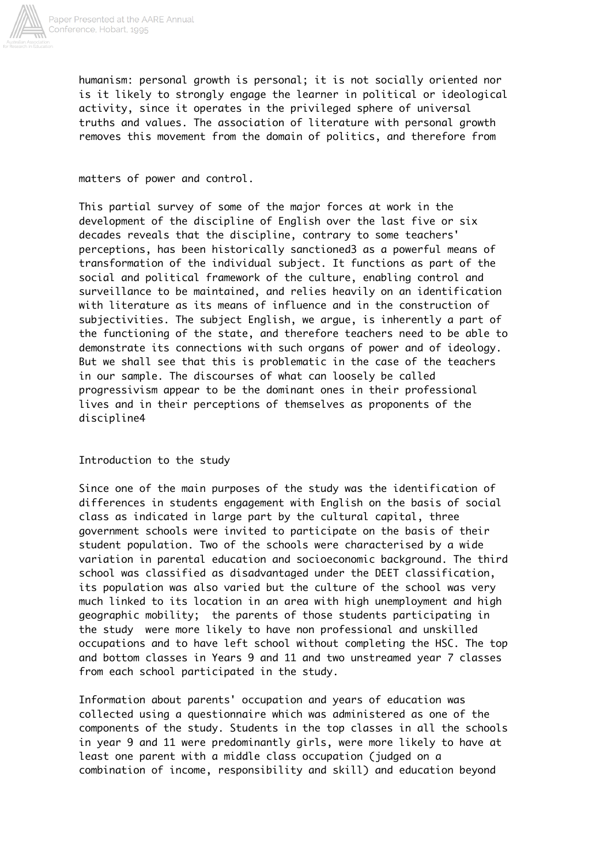

humanism: personal growth is personal; it is not socially oriented nor is it likely to strongly engage the learner in political or ideological activity, since it operates in the privileged sphere of universal truths and values. The association of literature with personal growth removes this movement from the domain of politics, and therefore from

### matters of power and control.

This partial survey of some of the major forces at work in the development of the discipline of English over the last five or six decades reveals that the discipline, contrary to some teachers' perceptions, has been historically sanctioned3 as a powerful means of transformation of the individual subject. It functions as part of the social and political framework of the culture, enabling control and surveillance to be maintained, and relies heavily on an identification with literature as its means of influence and in the construction of subjectivities. The subject English, we argue, is inherently a part of the functioning of the state, and therefore teachers need to be able to demonstrate its connections with such organs of power and of ideology. But we shall see that this is problematic in the case of the teachers in our sample. The discourses of what can loosely be called progressivism appear to be the dominant ones in their professional lives and in their perceptions of themselves as proponents of the discipline4

Introduction to the study

Since one of the main purposes of the study was the identification of differences in students engagement with English on the basis of social class as indicated in large part by the cultural capital, three government schools were invited to participate on the basis of their student population. Two of the schools were characterised by a wide variation in parental education and socioeconomic background. The third school was classified as disadvantaged under the DEET classification, its population was also varied but the culture of the school was very much linked to its location in an area with high unemployment and high geographic mobility; the parents of those students participating in the study were more likely to have non professional and unskilled occupations and to have left school without completing the HSC. The top and bottom classes in Years 9 and 11 and two unstreamed year 7 classes from each school participated in the study.

Information about parents' occupation and years of education was collected using a questionnaire which was administered as one of the components of the study. Students in the top classes in all the schools in year 9 and 11 were predominantly girls, were more likely to have at least one parent with a middle class occupation (judged on a combination of income, responsibility and skill) and education beyond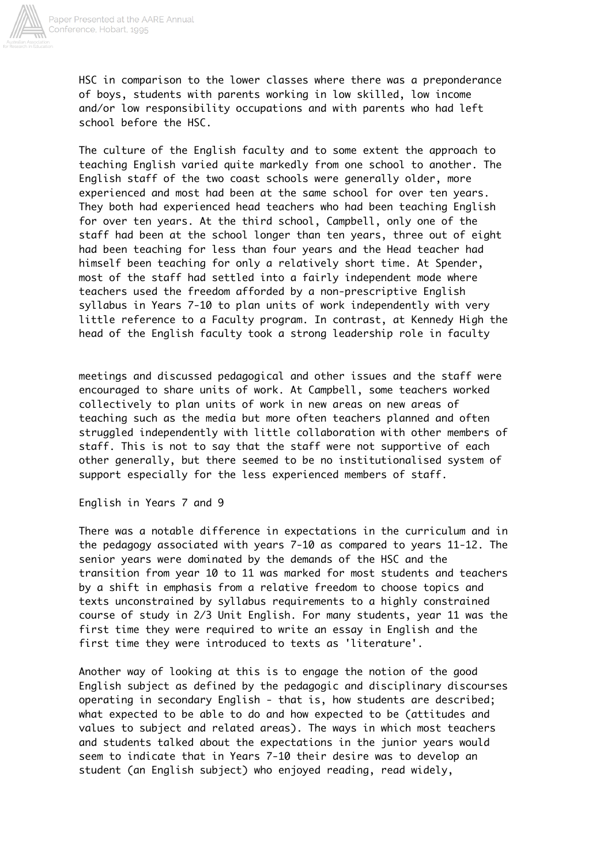

HSC in comparison to the lower classes where there was a preponderance of boys, students with parents working in low skilled, low income and/or low responsibility occupations and with parents who had left school before the HSC.

The culture of the English faculty and to some extent the approach to teaching English varied quite markedly from one school to another. The English staff of the two coast schools were generally older, more experienced and most had been at the same school for over ten years. They both had experienced head teachers who had been teaching English for over ten years. At the third school, Campbell, only one of the staff had been at the school longer than ten years, three out of eight had been teaching for less than four years and the Head teacher had himself been teaching for only a relatively short time. At Spender, most of the staff had settled into a fairly independent mode where teachers used the freedom afforded by a non-prescriptive English syllabus in Years 7-10 to plan units of work independently with very little reference to a Faculty program. In contrast, at Kennedy High the head of the English faculty took a strong leadership role in faculty

meetings and discussed pedagogical and other issues and the staff were encouraged to share units of work. At Campbell, some teachers worked collectively to plan units of work in new areas on new areas of teaching such as the media but more often teachers planned and often struggled independently with little collaboration with other members of staff. This is not to say that the staff were not supportive of each other generally, but there seemed to be no institutionalised system of support especially for the less experienced members of staff.

English in Years 7 and 9

There was a notable difference in expectations in the curriculum and in the pedagogy associated with years 7-10 as compared to years 11-12. The senior years were dominated by the demands of the HSC and the transition from year 10 to 11 was marked for most students and teachers by a shift in emphasis from a relative freedom to choose topics and texts unconstrained by syllabus requirements to a highly constrained course of study in 2/3 Unit English. For many students, year 11 was the first time they were required to write an essay in English and the first time they were introduced to texts as 'literature'.

Another way of looking at this is to engage the notion of the good English subject as defined by the pedagogic and disciplinary discourses operating in secondary English - that is, how students are described; what expected to be able to do and how expected to be (attitudes and values to subject and related areas). The ways in which most teachers and students talked about the expectations in the junior years would seem to indicate that in Years 7-10 their desire was to develop an student (an English subject) who enjoyed reading, read widely,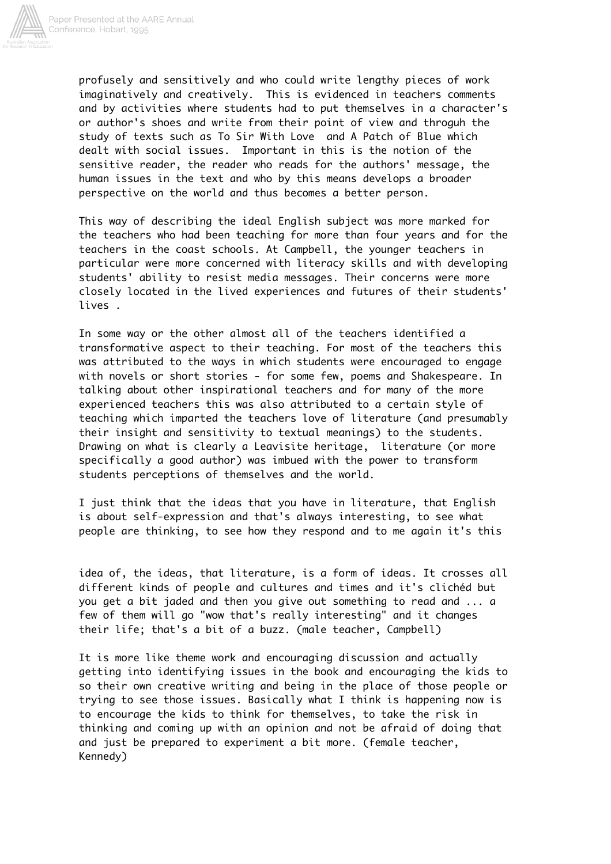

profusely and sensitively and who could write lengthy pieces of work imaginatively and creatively. This is evidenced in teachers comments and by activities where students had to put themselves in a character's or author's shoes and write from their point of view and throguh the study of texts such as To Sir With Love and A Patch of Blue which dealt with social issues. Important in this is the notion of the sensitive reader, the reader who reads for the authors' message, the human issues in the text and who by this means develops a broader perspective on the world and thus becomes a better person.

This way of describing the ideal English subject was more marked for the teachers who had been teaching for more than four years and for the teachers in the coast schools. At Campbell, the younger teachers in particular were more concerned with literacy skills and with developing students' ability to resist media messages. Their concerns were more closely located in the lived experiences and futures of their students' lives .

In some way or the other almost all of the teachers identified a transformative aspect to their teaching. For most of the teachers this was attributed to the ways in which students were encouraged to engage with novels or short stories - for some few, poems and Shakespeare. In talking about other inspirational teachers and for many of the more experienced teachers this was also attributed to a certain style of teaching which imparted the teachers love of literature (and presumably their insight and sensitivity to textual meanings) to the students. Drawing on what is clearly a Leavisite heritage, literature (or more specifically a good author) was imbued with the power to transform students perceptions of themselves and the world.

I just think that the ideas that you have in literature, that English is about self-expression and that's always interesting, to see what people are thinking, to see how they respond and to me again it's this

idea of, the ideas, that literature, is a form of ideas. It crosses all different kinds of people and cultures and times and it's clichéd but you get a bit jaded and then you give out something to read and ... a few of them will go "wow that's really interesting" and it changes their life; that's a bit of a buzz. (male teacher, Campbell)

It is more like theme work and encouraging discussion and actually getting into identifying issues in the book and encouraging the kids to so their own creative writing and being in the place of those people or trying to see those issues. Basically what I think is happening now is to encourage the kids to think for themselves, to take the risk in thinking and coming up with an opinion and not be afraid of doing that and just be prepared to experiment a bit more. (female teacher, Kennedy)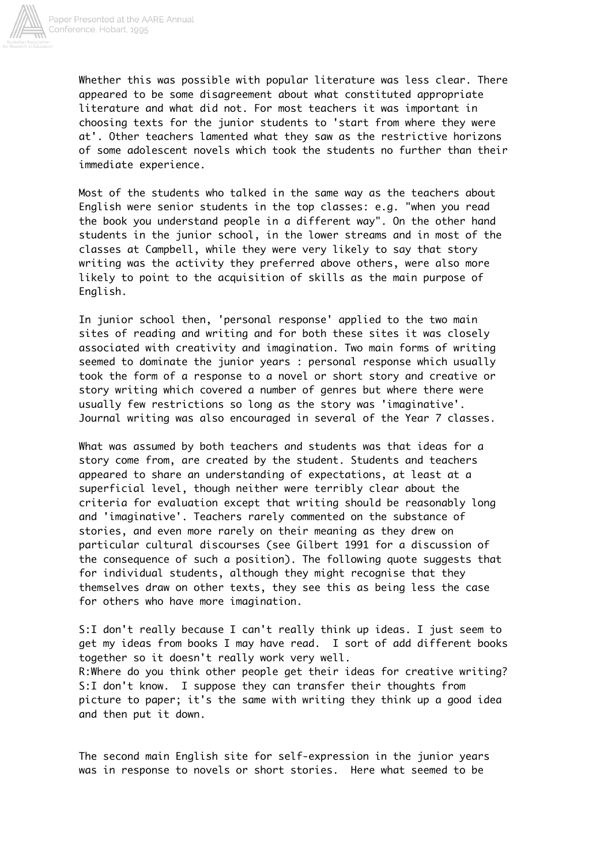

Whether this was possible with popular literature was less clear. There appeared to be some disagreement about what constituted appropriate literature and what did not. For most teachers it was important in choosing texts for the junior students to 'start from where they were at'. Other teachers lamented what they saw as the restrictive horizons of some adolescent novels which took the students no further than their immediate experience.

Most of the students who talked in the same way as the teachers about English were senior students in the top classes: e.g. "when you read the book you understand people in a different way". On the other hand students in the junior school, in the lower streams and in most of the classes at Campbell, while they were very likely to say that story writing was the activity they preferred above others, were also more likely to point to the acquisition of skills as the main purpose of English.

In junior school then, 'personal response' applied to the two main sites of reading and writing and for both these sites it was closely associated with creativity and imagination. Two main forms of writing seemed to dominate the junior years : personal response which usually took the form of a response to a novel or short story and creative or story writing which covered a number of genres but where there were usually few restrictions so long as the story was 'imaginative'. Journal writing was also encouraged in several of the Year 7 classes.

What was assumed by both teachers and students was that ideas for a story come from, are created by the student. Students and teachers appeared to share an understanding of expectations, at least at a superficial level, though neither were terribly clear about the criteria for evaluation except that writing should be reasonably long and 'imaginative'. Teachers rarely commented on the substance of stories, and even more rarely on their meaning as they drew on particular cultural discourses (see Gilbert 1991 for a discussion of the consequence of such a position). The following quote suggests that for individual students, although they might recognise that they themselves draw on other texts, they see this as being less the case for others who have more imagination.

S:I don't really because I can't really think up ideas. I just seem to get my ideas from books I may have read. I sort of add different books together so it doesn't really work very well. R:Where do you think other people get their ideas for creative writing? S:I don't know. I suppose they can transfer their thoughts from picture to paper; it's the same with writing they think up a good idea and then put it down.

The second main English site for self-expression in the junior years was in response to novels or short stories. Here what seemed to be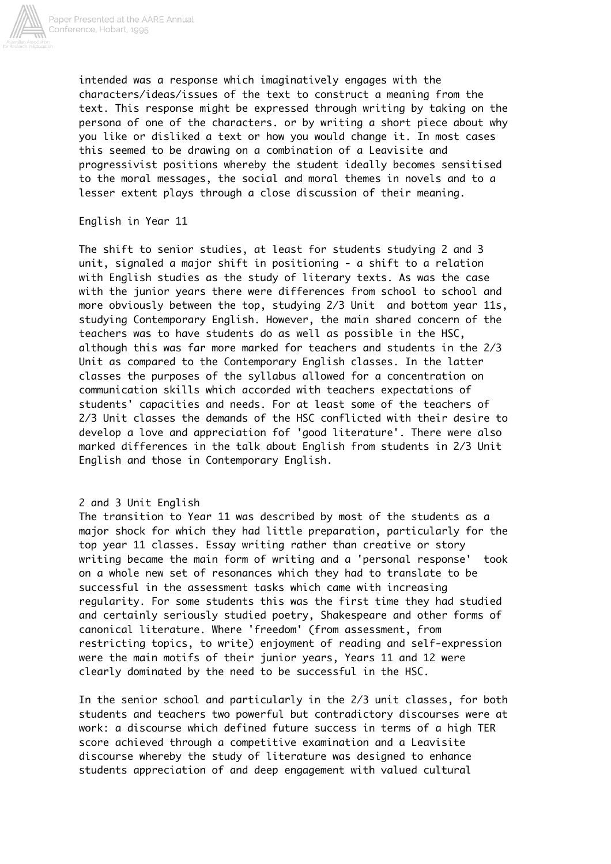

intended was a response which imaginatively engages with the characters/ideas/issues of the text to construct a meaning from the text. This response might be expressed through writing by taking on the persona of one of the characters. or by writing a short piece about why you like or disliked a text or how you would change it. In most cases this seemed to be drawing on a combination of a Leavisite and progressivist positions whereby the student ideally becomes sensitised to the moral messages, the social and moral themes in novels and to a lesser extent plays through a close discussion of their meaning.

English in Year 11

The shift to senior studies, at least for students studying 2 and 3 unit, signaled a major shift in positioning - a shift to a relation with English studies as the study of literary texts. As was the case with the junior years there were differences from school to school and more obviously between the top, studying 2/3 Unit and bottom year 11s, studying Contemporary English. However, the main shared concern of the teachers was to have students do as well as possible in the HSC, although this was far more marked for teachers and students in the 2/3 Unit as compared to the Contemporary English classes. In the latter classes the purposes of the syllabus allowed for a concentration on communication skills which accorded with teachers expectations of students' capacities and needs. For at least some of the teachers of 2/3 Unit classes the demands of the HSC conflicted with their desire to develop a love and appreciation fof 'good literature'. There were also marked differences in the talk about English from students in 2/3 Unit English and those in Contemporary English.

# 2 and 3 Unit English

The transition to Year 11 was described by most of the students as a major shock for which they had little preparation, particularly for the top year 11 classes. Essay writing rather than creative or story writing became the main form of writing and a 'personal response' took on a whole new set of resonances which they had to translate to be successful in the assessment tasks which came with increasing regularity. For some students this was the first time they had studied and certainly seriously studied poetry, Shakespeare and other forms of canonical literature. Where 'freedom' (from assessment, from restricting topics, to write) enjoyment of reading and self-expression were the main motifs of their junior years, Years 11 and 12 were clearly dominated by the need to be successful in the HSC.

In the senior school and particularly in the 2/3 unit classes, for both students and teachers two powerful but contradictory discourses were at work: a discourse which defined future success in terms of a high TER score achieved through a competitive examination and a Leavisite discourse whereby the study of literature was designed to enhance students appreciation of and deep engagement with valued cultural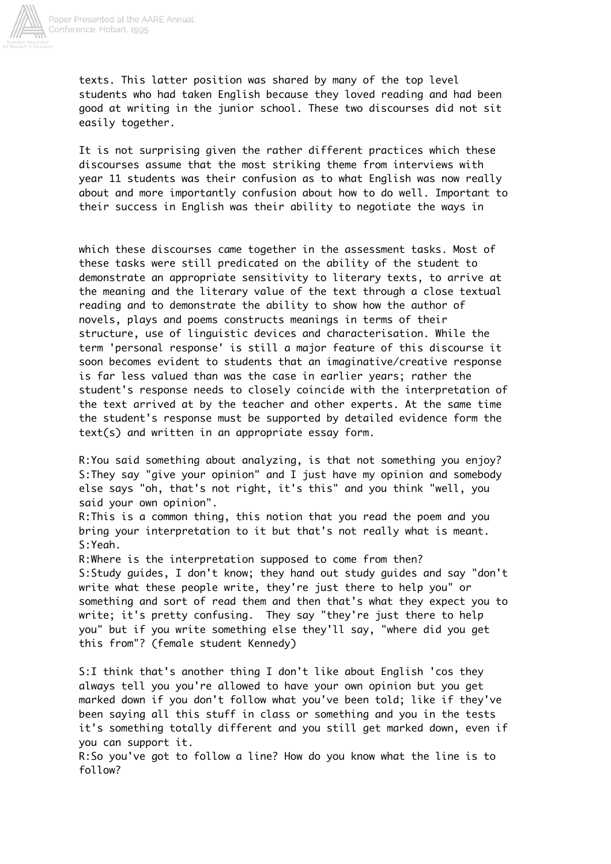

texts. This latter position was shared by many of the top level students who had taken English because they loved reading and had been good at writing in the junior school. These two discourses did not sit easily together.

It is not surprising given the rather different practices which these discourses assume that the most striking theme from interviews with year 11 students was their confusion as to what English was now really about and more importantly confusion about how to do well. Important to their success in English was their ability to negotiate the ways in

which these discourses came together in the assessment tasks. Most of these tasks were still predicated on the ability of the student to demonstrate an appropriate sensitivity to literary texts, to arrive at the meaning and the literary value of the text through a close textual reading and to demonstrate the ability to show how the author of novels, plays and poems constructs meanings in terms of their structure, use of linguistic devices and characterisation. While the term 'personal response' is still a major feature of this discourse it soon becomes evident to students that an imaginative/creative response is far less valued than was the case in earlier years; rather the student's response needs to closely coincide with the interpretation of the text arrived at by the teacher and other experts. At the same time the student's response must be supported by detailed evidence form the text(s) and written in an appropriate essay form.

R:You said something about analyzing, is that not something you enjoy? S:They say "give your opinion" and I just have my opinion and somebody else says "oh, that's not right, it's this" and you think "well, you said your own opinion".

R:This is a common thing, this notion that you read the poem and you bring your interpretation to it but that's not really what is meant. S:Yeah.

R:Where is the interpretation supposed to come from then? S:Study guides, I don't know; they hand out study guides and say "don't write what these people write, they're just there to help you" or something and sort of read them and then that's what they expect you to write; it's pretty confusing. They say "they're just there to help you" but if you write something else they'll say, "where did you get this from"? (female student Kennedy)

S:I think that's another thing I don't like about English 'cos they always tell you you're allowed to have your own opinion but you get marked down if you don't follow what you've been told; like if they've been saying all this stuff in class or something and you in the tests it's something totally different and you still get marked down, even if you can support it.

R:So you've got to follow a line? How do you know what the line is to follow?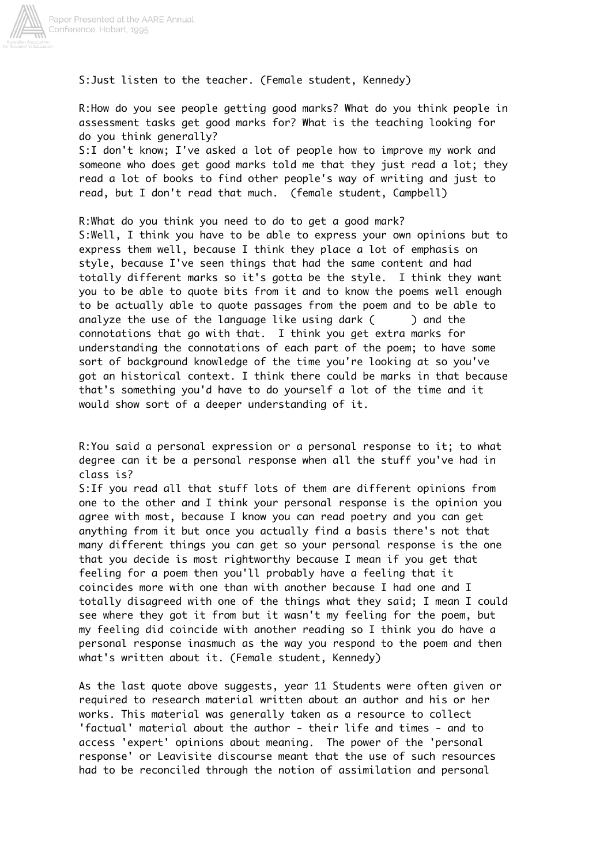

S:Just listen to the teacher. (Female student, Kennedy)

R:How do you see people getting good marks? What do you think people in assessment tasks get good marks for? What is the teaching looking for do you think generally?

S:I don't know; I've asked a lot of people how to improve my work and someone who does get good marks told me that they just read a lot; they read a lot of books to find other people's way of writing and just to read, but I don't read that much. (female student, Campbell)

R:What do you think you need to do to get a good mark? S:Well, I think you have to be able to express your own opinions but to express them well, because I think they place a lot of emphasis on style, because I've seen things that had the same content and had totally different marks so it's gotta be the style. I think they want you to be able to quote bits from it and to know the poems well enough to be actually able to quote passages from the poem and to be able to analyze the use of the language like using dark  $($  ) and the connotations that go with that. I think you get extra marks for understanding the connotations of each part of the poem; to have some sort of background knowledge of the time you're looking at so you've got an historical context. I think there could be marks in that because that's something you'd have to do yourself a lot of the time and it would show sort of a deeper understanding of it.

R:You said a personal expression or a personal response to it; to what degree can it be a personal response when all the stuff you've had in class is?

S:If you read all that stuff lots of them are different opinions from one to the other and I think your personal response is the opinion you agree with most, because I know you can read poetry and you can get anything from it but once you actually find a basis there's not that many different things you can get so your personal response is the one that you decide is most rightworthy because I mean if you get that feeling for a poem then you'll probably have a feeling that it coincides more with one than with another because I had one and I totally disagreed with one of the things what they said; I mean I could see where they got it from but it wasn't my feeling for the poem, but my feeling did coincide with another reading so I think you do have a personal response inasmuch as the way you respond to the poem and then what's written about it. (Female student, Kennedy)

As the last quote above suggests, year 11 Students were often given or required to research material written about an author and his or her works. This material was generally taken as a resource to collect 'factual' material about the author - their life and times - and to access 'expert' opinions about meaning. The power of the 'personal response' or Leavisite discourse meant that the use of such resources had to be reconciled through the notion of assimilation and personal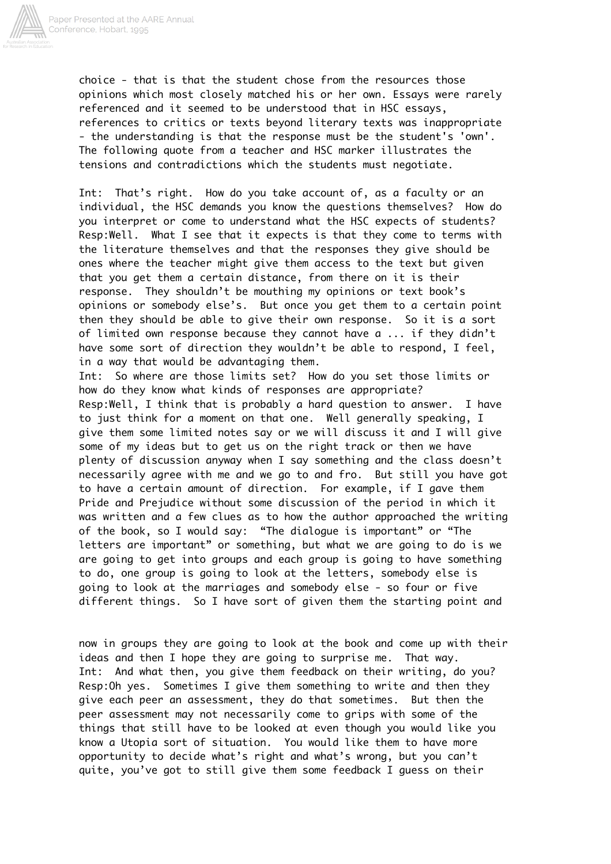

choice - that is that the student chose from the resources those opinions which most closely matched his or her own. Essays were rarely referenced and it seemed to be understood that in HSC essays, references to critics or texts beyond literary texts was inappropriate - the understanding is that the response must be the student's 'own'. The following quote from a teacher and HSC marker illustrates the tensions and contradictions which the students must negotiate.

Int: That's right. How do you take account of, as a faculty or an individual, the HSC demands you know the questions themselves? How do you interpret or come to understand what the HSC expects of students? Resp:Well. What I see that it expects is that they come to terms with the literature themselves and that the responses they give should be ones where the teacher might give them access to the text but given that you get them a certain distance, from there on it is their response. They shouldn't be mouthing my opinions or text book's opinions or somebody else's. But once you get them to a certain point then they should be able to give their own response. So it is a sort of limited own response because they cannot have a ... if they didn't have some sort of direction they wouldn't be able to respond, I feel, in a way that would be advantaging them.

Int: So where are those limits set? How do you set those limits or how do they know what kinds of responses are appropriate? Resp:Well, I think that is probably a hard question to answer. I have to just think for a moment on that one. Well generally speaking, I give them some limited notes say or we will discuss it and I will give some of my ideas but to get us on the right track or then we have plenty of discussion anyway when I say something and the class doesn't necessarily agree with me and we go to and fro. But still you have got to have a certain amount of direction. For example, if I gave them Pride and Prejudice without some discussion of the period in which it was written and a few clues as to how the author approached the writing of the book, so I would say: "The dialogue is important" or "The letters are important" or something, but what we are going to do is we are going to get into groups and each group is going to have something to do, one group is going to look at the letters, somebody else is going to look at the marriages and somebody else - so four or five different things. So I have sort of given them the starting point and

now in groups they are going to look at the book and come up with their ideas and then I hope they are going to surprise me. That way. Int: And what then, you give them feedback on their writing, do you? Resp:Oh yes. Sometimes I give them something to write and then they give each peer an assessment, they do that sometimes. But then the peer assessment may not necessarily come to grips with some of the things that still have to be looked at even though you would like you know a Utopia sort of situation. You would like them to have more opportunity to decide what's right and what's wrong, but you can't quite, you've got to still give them some feedback I guess on their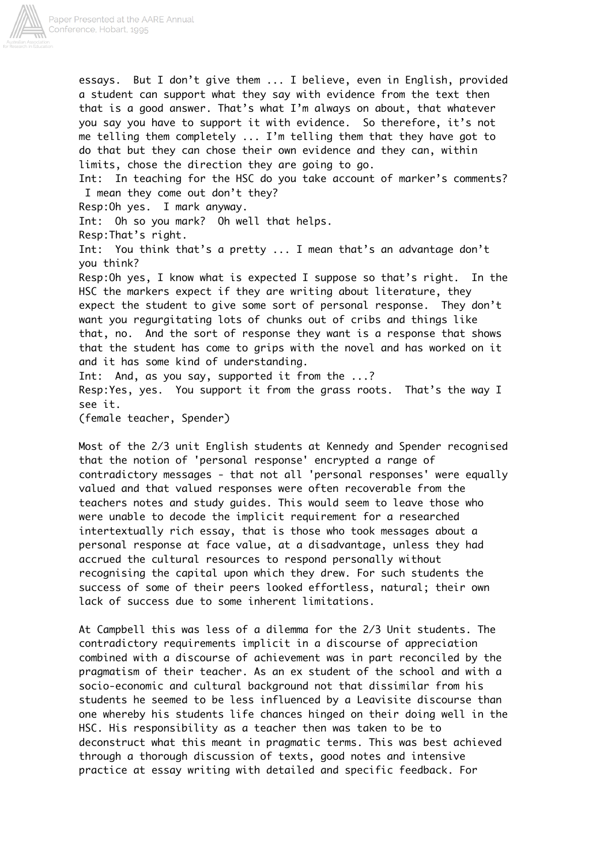

essays. But I don't give them ... I believe, even in English, provided a student can support what they say with evidence from the text then that is a good answer. That's what I'm always on about, that whatever you say you have to support it with evidence. So therefore, it's not me telling them completely ... I'm telling them that they have got to do that but they can chose their own evidence and they can, within limits, chose the direction they are going to go.

Int: In teaching for the HSC do you take account of marker's comments? I mean they come out don't they?

Resp:Oh yes. I mark anyway.

Int: Oh so you mark? Oh well that helps.

Resp:That's right.

Int: You think that's a pretty ... I mean that's an advantage don't you think?

Resp:Oh yes, I know what is expected I suppose so that's right. In the HSC the markers expect if they are writing about literature, they expect the student to give some sort of personal response. They don't want you regurgitating lots of chunks out of cribs and things like that, no. And the sort of response they want is a response that shows that the student has come to grips with the novel and has worked on it and it has some kind of understanding. Int: And, as you say, supported it from the ...?

Resp:Yes, yes. You support it from the grass roots. That's the way I see it.

(female teacher, Spender)

Most of the 2/3 unit English students at Kennedy and Spender recognised that the notion of 'personal response' encrypted a range of contradictory messages - that not all 'personal responses' were equally valued and that valued responses were often recoverable from the teachers notes and study guides. This would seem to leave those who were unable to decode the implicit requirement for a researched intertextually rich essay, that is those who took messages about a personal response at face value, at a disadvantage, unless they had accrued the cultural resources to respond personally without recognising the capital upon which they drew. For such students the success of some of their peers looked effortless, natural; their own lack of success due to some inherent limitations.

At Campbell this was less of a dilemma for the 2/3 Unit students. The contradictory requirements implicit in a discourse of appreciation combined with a discourse of achievement was in part reconciled by the pragmatism of their teacher. As an ex student of the school and with a socio-economic and cultural background not that dissimilar from his students he seemed to be less influenced by a Leavisite discourse than one whereby his students life chances hinged on their doing well in the HSC. His responsibility as a teacher then was taken to be to deconstruct what this meant in pragmatic terms. This was best achieved through a thorough discussion of texts, good notes and intensive practice at essay writing with detailed and specific feedback. For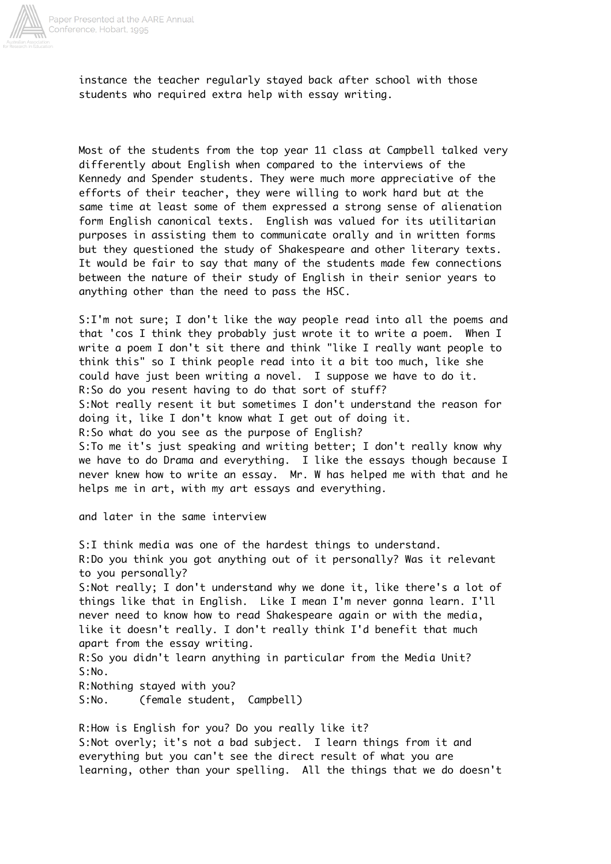

instance the teacher regularly stayed back after school with those students who required extra help with essay writing.

Most of the students from the top year 11 class at Campbell talked very differently about English when compared to the interviews of the Kennedy and Spender students. They were much more appreciative of the efforts of their teacher, they were willing to work hard but at the same time at least some of them expressed a strong sense of alienation form English canonical texts. English was valued for its utilitarian purposes in assisting them to communicate orally and in written forms but they questioned the study of Shakespeare and other literary texts. It would be fair to say that many of the students made few connections between the nature of their study of English in their senior years to anything other than the need to pass the HSC.

S:I'm not sure; I don't like the way people read into all the poems and that 'cos I think they probably just wrote it to write a poem. When I write a poem I don't sit there and think "like I really want people to think this" so I think people read into it a bit too much, like she could have just been writing a novel. I suppose we have to do it. R:So do you resent having to do that sort of stuff? S:Not really resent it but sometimes I don't understand the reason for doing it, like I don't know what I get out of doing it. R:So what do you see as the purpose of English? S:To me it's just speaking and writing better; I don't really know why we have to do Drama and everything. I like the essays though because I never knew how to write an essay. Mr. W has helped me with that and he helps me in art, with my art essays and everything.

and later in the same interview

S:I think media was one of the hardest things to understand. R:Do you think you got anything out of it personally? Was it relevant to you personally? S:Not really; I don't understand why we done it, like there's a lot of things like that in English. Like I mean I'm never gonna learn. I'll never need to know how to read Shakespeare again or with the media, like it doesn't really. I don't really think I'd benefit that much apart from the essay writing. R:So you didn't learn anything in particular from the Media Unit? S:No. R:Nothing stayed with you? S:No. (female student, Campbell)

R:How is English for you? Do you really like it? S:Not overly; it's not a bad subject. I learn things from it and everything but you can't see the direct result of what you are learning, other than your spelling. All the things that we do doesn't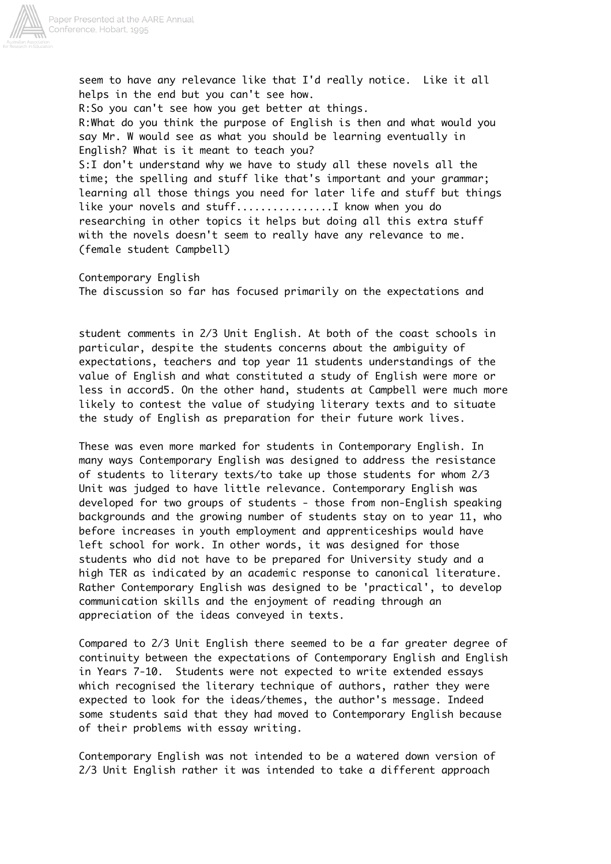

seem to have any relevance like that I'd really notice. Like it all helps in the end but you can't see how. R:So you can't see how you get better at things. R:What do you think the purpose of English is then and what would you say Mr. W would see as what you should be learning eventually in English? What is it meant to teach you? S:I don't understand why we have to study all these novels all the time; the spelling and stuff like that's important and your grammar; learning all those things you need for later life and stuff but things like your novels and stuff................I know when you do researching in other topics it helps but doing all this extra stuff with the novels doesn't seem to really have any relevance to me. (female student Campbell)

Contemporary English The discussion so far has focused primarily on the expectations and

student comments in 2/3 Unit English. At both of the coast schools in particular, despite the students concerns about the ambiguity of expectations, teachers and top year 11 students understandings of the value of English and what constituted a study of English were more or less in accord5. On the other hand, students at Campbell were much more likely to contest the value of studying literary texts and to situate the study of English as preparation for their future work lives.

These was even more marked for students in Contemporary English. In many ways Contemporary English was designed to address the resistance of students to literary texts/to take up those students for whom 2/3 Unit was judged to have little relevance. Contemporary English was developed for two groups of students - those from non-English speaking backgrounds and the growing number of students stay on to year 11, who before increases in youth employment and apprenticeships would have left school for work. In other words, it was designed for those students who did not have to be prepared for University study and a high TER as indicated by an academic response to canonical literature. Rather Contemporary English was designed to be 'practical', to develop communication skills and the enjoyment of reading through an appreciation of the ideas conveyed in texts.

Compared to 2/3 Unit English there seemed to be a far greater degree of continuity between the expectations of Contemporary English and English in Years 7-10. Students were not expected to write extended essays which recognised the literary technique of authors, rather they were expected to look for the ideas/themes, the author's message. Indeed some students said that they had moved to Contemporary English because of their problems with essay writing.

Contemporary English was not intended to be a watered down version of 2/3 Unit English rather it was intended to take a different approach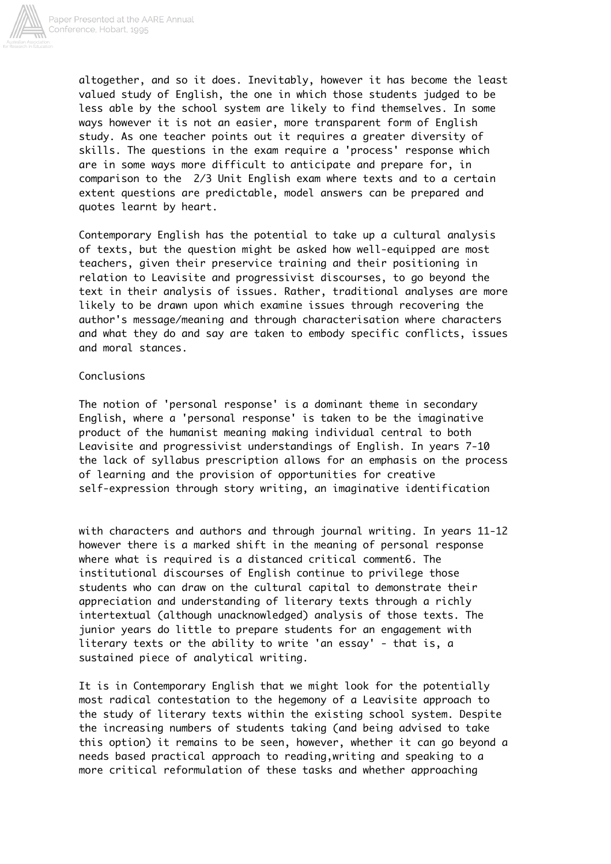

altogether, and so it does. Inevitably, however it has become the least valued study of English, the one in which those students judged to be less able by the school system are likely to find themselves. In some ways however it is not an easier, more transparent form of English study. As one teacher points out it requires a greater diversity of skills. The questions in the exam require a 'process' response which are in some ways more difficult to anticipate and prepare for, in comparison to the 2/3 Unit English exam where texts and to a certain extent questions are predictable, model answers can be prepared and quotes learnt by heart.

Contemporary English has the potential to take up a cultural analysis of texts, but the question might be asked how well-equipped are most teachers, given their preservice training and their positioning in relation to Leavisite and progressivist discourses, to go beyond the text in their analysis of issues. Rather, traditional analyses are more likely to be drawn upon which examine issues through recovering the author's message/meaning and through characterisation where characters and what they do and say are taken to embody specific conflicts, issues and moral stances.

# Conclusions

The notion of 'personal response' is a dominant theme in secondary English, where a 'personal response' is taken to be the imaginative product of the humanist meaning making individual central to both Leavisite and progressivist understandings of English. In years 7-10 the lack of syllabus prescription allows for an emphasis on the process of learning and the provision of opportunities for creative self-expression through story writing, an imaginative identification

with characters and authors and through journal writing. In years 11-12 however there is a marked shift in the meaning of personal response where what is required is a distanced critical comment6. The institutional discourses of English continue to privilege those students who can draw on the cultural capital to demonstrate their appreciation and understanding of literary texts through a richly intertextual (although unacknowledged) analysis of those texts. The junior years do little to prepare students for an engagement with literary texts or the ability to write 'an essay' - that is, a sustained piece of analytical writing.

It is in Contemporary English that we might look for the potentially most radical contestation to the hegemony of a Leavisite approach to the study of literary texts within the existing school system. Despite the increasing numbers of students taking (and being advised to take this option) it remains to be seen, however, whether it can go beyond a needs based practical approach to reading,writing and speaking to a more critical reformulation of these tasks and whether approaching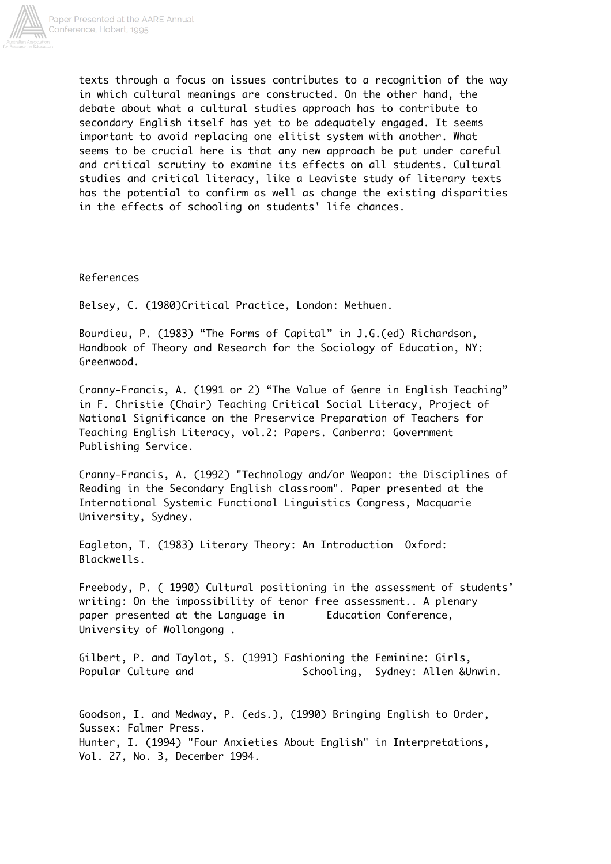

texts through a focus on issues contributes to a recognition of the way in which cultural meanings are constructed. On the other hand, the debate about what a cultural studies approach has to contribute to secondary English itself has yet to be adequately engaged. It seems important to avoid replacing one elitist system with another. What seems to be crucial here is that any new approach be put under careful and critical scrutiny to examine its effects on all students. Cultural studies and critical literacy, like a Leaviste study of literary texts has the potential to confirm as well as change the existing disparities in the effects of schooling on students' life chances.

References

Belsey, C. (1980)Critical Practice, London: Methuen.

Bourdieu, P. (1983) "The Forms of Capital" in J.G.(ed) Richardson, Handbook of Theory and Research for the Sociology of Education, NY: Greenwood.

Cranny-Francis, A. (1991 or 2) "The Value of Genre in English Teaching" in F. Christie (Chair) Teaching Critical Social Literacy, Project of National Significance on the Preservice Preparation of Teachers for Teaching English Literacy, vol.2: Papers. Canberra: Government Publishing Service.

Cranny-Francis, A. (1992) "Technology and/or Weapon: the Disciplines of Reading in the Secondary English classroom". Paper presented at the International Systemic Functional Linguistics Congress, Macquarie University, Sydney.

Eagleton, T. (1983) Literary Theory: An Introduction Oxford: Blackwells.

Freebody, P. ( 1990) Cultural positioning in the assessment of students' writing: On the impossibility of tenor free assessment.. A plenary paper presented at the Language in Education Conference, University of Wollongong .

Gilbert, P. and Taylot, S. (1991) Fashioning the Feminine: Girls, Popular Culture and The Schooling, Sydney: Allen &Unwin.

Goodson, I. and Medway, P. (eds.), (1990) Bringing English to Order, Sussex: Falmer Press. Hunter, I. (1994) "Four Anxieties About English" in Interpretations, Vol. 27, No. 3, December 1994.